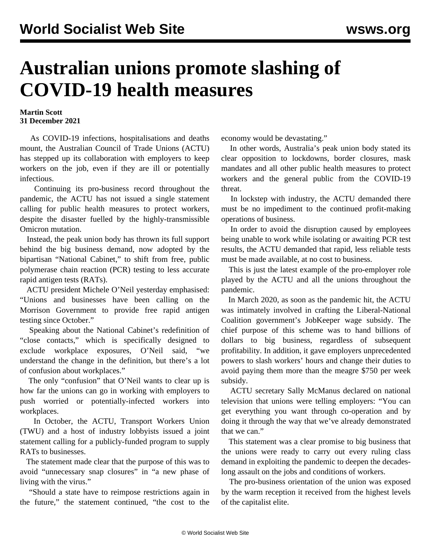## **Australian unions promote slashing of COVID-19 health measures**

## **Martin Scott 31 December 2021**

 As COVID-19 infections, hospitalisations and deaths mount, the Australian Council of Trade Unions (ACTU) has stepped up its collaboration with employers to keep workers on the job, even if they are ill or potentially infectious.

 Continuing its pro-business record throughout the pandemic, the ACTU has not issued a single statement calling for public health measures to protect workers, despite the disaster fuelled by the highly-transmissible Omicron mutation.

 Instead, the peak union body has thrown its full support behind the big business demand, now adopted by the bipartisan "National Cabinet," to shift from free, public polymerase chain reaction (PCR) testing to less accurate rapid antigen tests (RATs).

 ACTU president Michele O'Neil yesterday emphasised: "Unions and businesses have been calling on the Morrison Government to provide free rapid antigen testing since October."

 Speaking about the National Cabinet's redefinition of "close contacts," which is specifically designed to exclude workplace exposures, O'Neil said, "we understand the change in the definition, but there's a lot of confusion about workplaces."

 The only "confusion" that O'Neil wants to clear up is how far the unions can go in working with employers to push worried or potentially-infected workers into workplaces.

 In October, the ACTU, Transport Workers Union (TWU) and a host of industry lobbyists issued a joint statement calling for a publicly-funded program to supply RATs to businesses.

 The statement made clear that the purpose of this was to avoid "unnecessary snap closures" in "a new phase of living with the virus."

 "Should a state have to reimpose restrictions again in the future," the statement continued, "the cost to the economy would be devastating."

 In other words, Australia's peak union body stated its clear opposition to lockdowns, border closures, mask mandates and all other public health measures to protect workers and the general public from the COVID-19 threat.

 In lockstep with industry, the ACTU demanded there must be no impediment to the continued profit-making operations of business.

 In order to avoid the disruption caused by employees being unable to work while isolating or awaiting PCR test results, the ACTU demanded that rapid, less reliable tests must be made available, at no cost to business.

 This is just the latest example of the pro-employer role played by the ACTU and all the unions throughout the pandemic.

 In March 2020, as soon as the pandemic hit, the ACTU was intimately involved in crafting the Liberal-National Coalition government's JobKeeper wage subsidy. The chief purpose of this scheme was to hand billions of dollars to big business, regardless of subsequent profitability. In addition, it gave employers unprecedented powers to slash workers' hours and change their duties to avoid paying them more than the meagre \$750 per week subsidy.

 ACTU secretary Sally McManus declared on national television that unions were telling employers: "You can get everything you want through co-operation and by doing it through the way that we've already demonstrated that we can."

 This statement was a clear promise to big business that the unions were ready to carry out every ruling class demand in exploiting the pandemic to deepen the decadeslong assault on the jobs and conditions of workers.

 The pro-business orientation of the union was exposed by the warm reception it received from the highest levels of the capitalist elite.